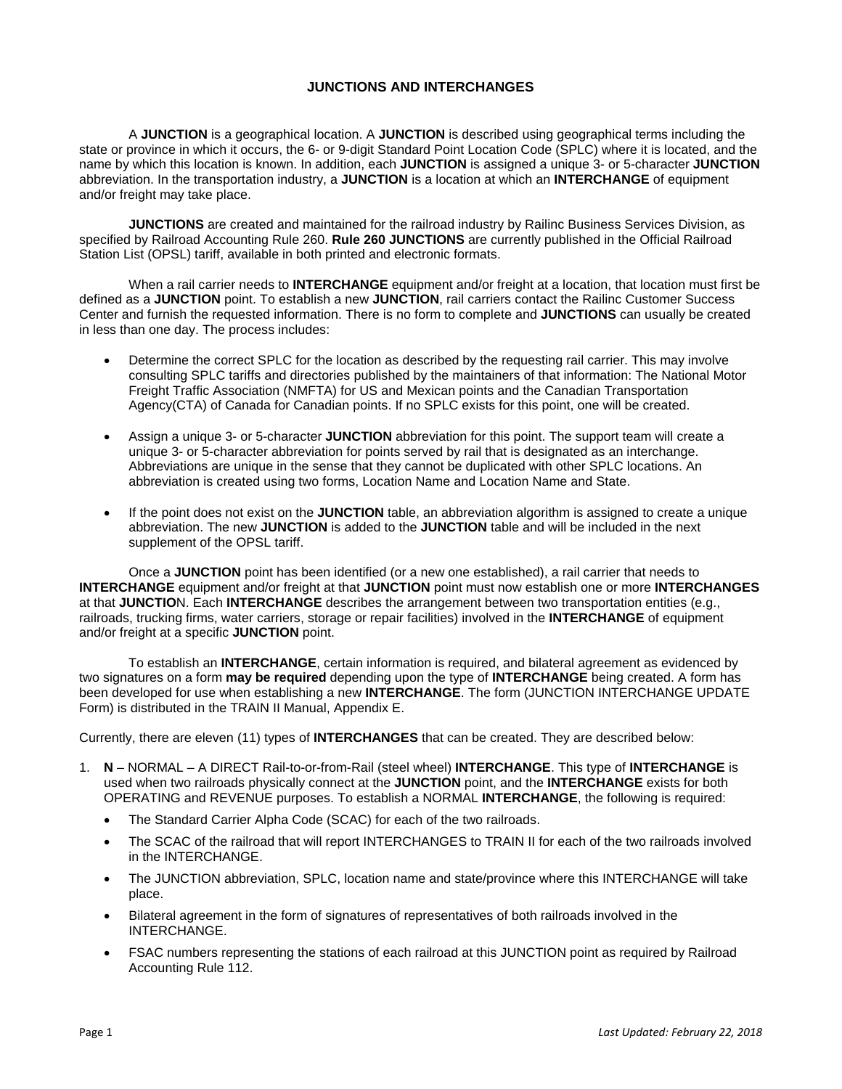## **JUNCTIONS AND INTERCHANGES**

A **JUNCTION** is a geographical location. A **JUNCTION** is described using geographical terms including the state or province in which it occurs, the 6- or 9-digit Standard Point Location Code (SPLC) where it is located, and the name by which this location is known. In addition, each **JUNCTION** is assigned a unique 3- or 5-character **JUNCTION**  abbreviation. In the transportation industry, a **JUNCTION** is a location at which an **INTERCHANGE** of equipment and/or freight may take place.

**JUNCTIONS** are created and maintained for the railroad industry by Railinc Business Services Division, as specified by Railroad Accounting Rule 260. **Rule 260 JUNCTIONS** are currently published in the Official Railroad Station List (OPSL) tariff, available in both printed and electronic formats.

When a rail carrier needs to **INTERCHANGE** equipment and/or freight at a location, that location must first be defined as a **JUNCTION** point. To establish a new **JUNCTION**, rail carriers contact the Railinc Customer Success Center and furnish the requested information. There is no form to complete and **JUNCTIONS** can usually be created in less than one day. The process includes:

- Determine the correct SPLC for the location as described by the requesting rail carrier. This may involve consulting SPLC tariffs and directories published by the maintainers of that information: The National Motor Freight Traffic Association (NMFTA) for US and Mexican points and the Canadian Transportation Agency(CTA) of Canada for Canadian points. If no SPLC exists for this point, one will be created.
- Assign a unique 3- or 5-character **JUNCTION** abbreviation for this point. The support team will create a unique 3- or 5-character abbreviation for points served by rail that is designated as an interchange. Abbreviations are unique in the sense that they cannot be duplicated with other SPLC locations. An abbreviation is created using two forms, Location Name and Location Name and State.
- If the point does not exist on the **JUNCTION** table, an abbreviation algorithm is assigned to create a unique abbreviation. The new **JUNCTION** is added to the **JUNCTION** table and will be included in the next supplement of the OPSL tariff.

Once a **JUNCTION** point has been identified (or a new one established), a rail carrier that needs to **INTERCHANGE** equipment and/or freight at that **JUNCTION** point must now establish one or more **INTERCHANGES**  at that **JUNCTIO**N. Each **INTERCHANGE** describes the arrangement between two transportation entities (e.g., railroads, trucking firms, water carriers, storage or repair facilities) involved in the **INTERCHANGE** of equipment and/or freight at a specific **JUNCTION** point.

To establish an **INTERCHANGE**, certain information is required, and bilateral agreement as evidenced by two signatures on a form **may be required** depending upon the type of **INTERCHANGE** being created. A form has been developed for use when establishing a new **INTERCHANGE**. The form (JUNCTION INTERCHANGE UPDATE Form) is distributed in the TRAIN II Manual, Appendix E.

Currently, there are eleven (11) types of **INTERCHANGES** that can be created. They are described below:

- 1. **N**  NORMAL A DIRECT Rail-to-or-from-Rail (steel wheel) **INTERCHANGE**. This type of **INTERCHANGE** is used when two railroads physically connect at the **JUNCTION** point, and the **INTERCHANGE** exists for both OPERATING and REVENUE purposes. To establish a NORMAL **INTERCHANGE**, the following is required:
	- The Standard Carrier Alpha Code (SCAC) for each of the two railroads.
	- The SCAC of the railroad that will report INTERCHANGES to TRAIN II for each of the two railroads involved in the INTERCHANGE.
	- The JUNCTION abbreviation, SPLC, location name and state/province where this INTERCHANGE will take place.
	- Bilateral agreement in the form of signatures of representatives of both railroads involved in the INTERCHANGE.
	- FSAC numbers representing the stations of each railroad at this JUNCTION point as required by Railroad Accounting Rule 112.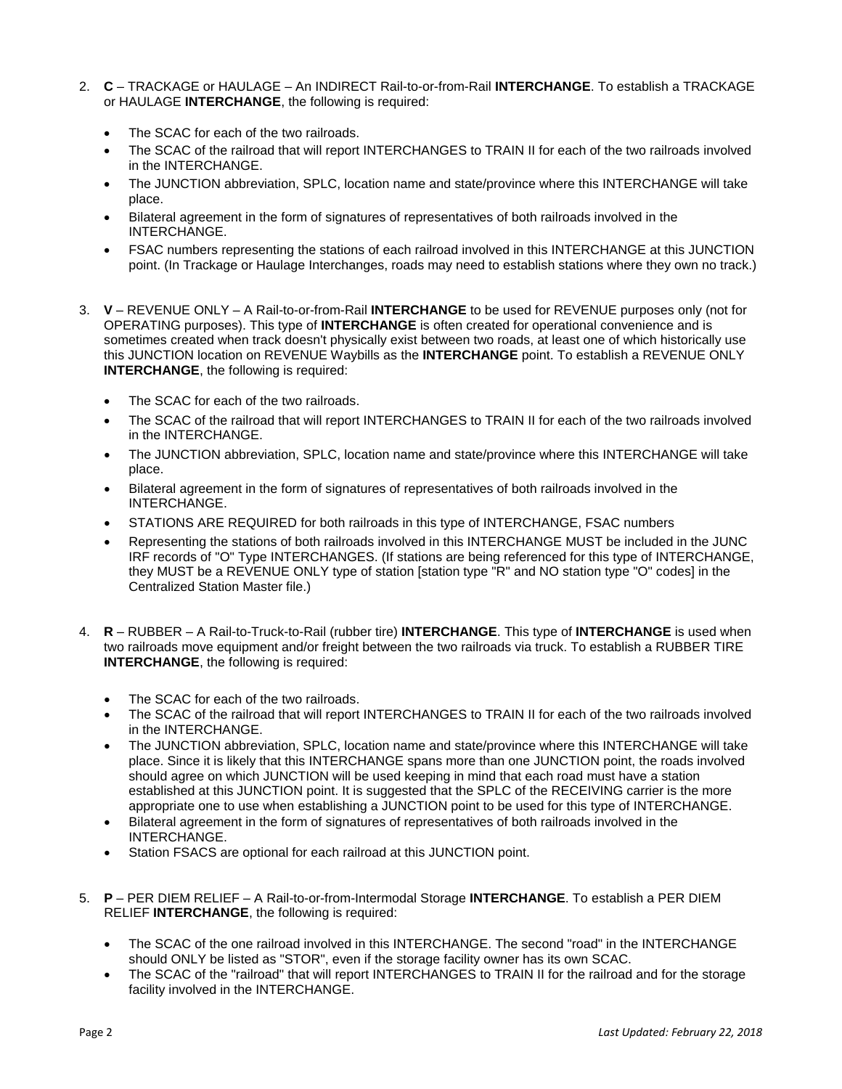- 2. **C**  TRACKAGE or HAULAGE An INDIRECT Rail-to-or-from-Rail **INTERCHANGE**. To establish a TRACKAGE or HAULAGE **INTERCHANGE**, the following is required:
	- The SCAC for each of the two railroads.
	- The SCAC of the railroad that will report INTERCHANGES to TRAIN II for each of the two railroads involved in the INTERCHANGE.
	- The JUNCTION abbreviation, SPLC, location name and state/province where this INTERCHANGE will take place.
	- Bilateral agreement in the form of signatures of representatives of both railroads involved in the INTERCHANGE.
	- FSAC numbers representing the stations of each railroad involved in this INTERCHANGE at this JUNCTION point. (In Trackage or Haulage Interchanges, roads may need to establish stations where they own no track.)
- 3. **V**  REVENUE ONLY A Rail-to-or-from-Rail **INTERCHANGE** to be used for REVENUE purposes only (not for OPERATING purposes). This type of **INTERCHANGE** is often created for operational convenience and is sometimes created when track doesn't physically exist between two roads, at least one of which historically use this JUNCTION location on REVENUE Waybills as the **INTERCHANGE** point. To establish a REVENUE ONLY **INTERCHANGE**, the following is required:
	- The SCAC for each of the two railroads.
	- The SCAC of the railroad that will report INTERCHANGES to TRAIN II for each of the two railroads involved in the INTERCHANGE.
	- The JUNCTION abbreviation, SPLC, location name and state/province where this INTERCHANGE will take place.
	- Bilateral agreement in the form of signatures of representatives of both railroads involved in the INTERCHANGE.
	- STATIONS ARE REQUIRED for both railroads in this type of INTERCHANGE, FSAC numbers
	- Representing the stations of both railroads involved in this INTERCHANGE MUST be included in the JUNC IRF records of "O" Type INTERCHANGES. (If stations are being referenced for this type of INTERCHANGE, they MUST be a REVENUE ONLY type of station [station type "R" and NO station type "O" codes] in the Centralized Station Master file.)
- 4. **R**  RUBBER A Rail-to-Truck-to-Rail (rubber tire) **INTERCHANGE**. This type of **INTERCHANGE** is used when two railroads move equipment and/or freight between the two railroads via truck. To establish a RUBBER TIRE **INTERCHANGE**, the following is required:
	- The SCAC for each of the two railroads.
	- The SCAC of the railroad that will report INTERCHANGES to TRAIN II for each of the two railroads involved in the INTERCHANGE.
	- The JUNCTION abbreviation, SPLC, location name and state/province where this INTERCHANGE will take place. Since it is likely that this INTERCHANGE spans more than one JUNCTION point, the roads involved should agree on which JUNCTION will be used keeping in mind that each road must have a station established at this JUNCTION point. It is suggested that the SPLC of the RECEIVING carrier is the more appropriate one to use when establishing a JUNCTION point to be used for this type of INTERCHANGE.
	- Bilateral agreement in the form of signatures of representatives of both railroads involved in the INTERCHANGE.
	- Station FSACS are optional for each railroad at this JUNCTION point.
- 5. **P**  PER DIEM RELIEF A Rail-to-or-from-Intermodal Storage **INTERCHANGE**. To establish a PER DIEM RELIEF **INTERCHANGE**, the following is required:
	- The SCAC of the one railroad involved in this INTERCHANGE. The second "road" in the INTERCHANGE should ONLY be listed as "STOR", even if the storage facility owner has its own SCAC.
	- The SCAC of the "railroad" that will report INTERCHANGES to TRAIN II for the railroad and for the storage facility involved in the INTERCHANGE.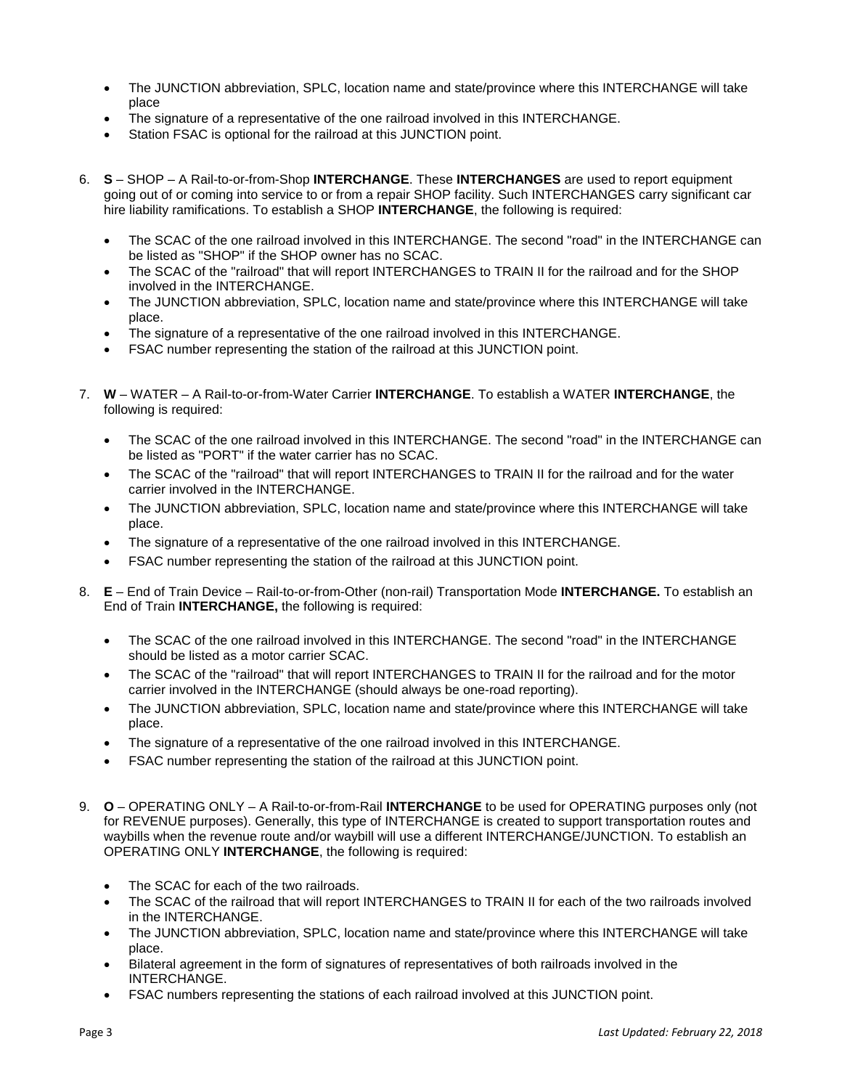- The JUNCTION abbreviation, SPLC, location name and state/province where this INTERCHANGE will take place
- The signature of a representative of the one railroad involved in this INTERCHANGE.
- Station FSAC is optional for the railroad at this JUNCTION point.
- 6. **S**  SHOP A Rail-to-or-from-Shop **INTERCHANGE**. These **INTERCHANGES** are used to report equipment going out of or coming into service to or from a repair SHOP facility. Such INTERCHANGES carry significant car hire liability ramifications. To establish a SHOP **INTERCHANGE**, the following is required:
	- The SCAC of the one railroad involved in this INTERCHANGE. The second "road" in the INTERCHANGE can be listed as "SHOP" if the SHOP owner has no SCAC.
	- The SCAC of the "railroad" that will report INTERCHANGES to TRAIN II for the railroad and for the SHOP involved in the INTERCHANGE.
	- The JUNCTION abbreviation, SPLC, location name and state/province where this INTERCHANGE will take place.
	- The signature of a representative of the one railroad involved in this INTERCHANGE.
	- FSAC number representing the station of the railroad at this JUNCTION point.
- 7. **W** WATER A Rail-to-or-from-Water Carrier **INTERCHANGE**. To establish a WATER **INTERCHANGE**, the following is required:
	- The SCAC of the one railroad involved in this INTERCHANGE. The second "road" in the INTERCHANGE can be listed as "PORT" if the water carrier has no SCAC.
	- The SCAC of the "railroad" that will report INTERCHANGES to TRAIN II for the railroad and for the water carrier involved in the INTERCHANGE.
	- The JUNCTION abbreviation, SPLC, location name and state/province where this INTERCHANGE will take place.
	- The signature of a representative of the one railroad involved in this INTERCHANGE.
	- FSAC number representing the station of the railroad at this JUNCTION point.
- 8. **E**  End of Train Device Rail-to-or-from-Other (non-rail) Transportation Mode **INTERCHANGE.** To establish an End of Train **INTERCHANGE,** the following is required:
	- The SCAC of the one railroad involved in this INTERCHANGE. The second "road" in the INTERCHANGE should be listed as a motor carrier SCAC.
	- The SCAC of the "railroad" that will report INTERCHANGES to TRAIN II for the railroad and for the motor carrier involved in the INTERCHANGE (should always be one-road reporting).
	- The JUNCTION abbreviation, SPLC, location name and state/province where this INTERCHANGE will take place.
	- The signature of a representative of the one railroad involved in this INTERCHANGE.
	- FSAC number representing the station of the railroad at this JUNCTION point.
- 9. **O**  OPERATING ONLY A Rail-to-or-from-Rail **INTERCHANGE** to be used for OPERATING purposes only (not for REVENUE purposes). Generally, this type of INTERCHANGE is created to support transportation routes and waybills when the revenue route and/or waybill will use a different INTERCHANGE/JUNCTION. To establish an OPERATING ONLY **INTERCHANGE**, the following is required:
	- The SCAC for each of the two railroads.
	- The SCAC of the railroad that will report INTERCHANGES to TRAIN II for each of the two railroads involved in the INTERCHANGE.
	- The JUNCTION abbreviation, SPLC, location name and state/province where this INTERCHANGE will take place.
	- Bilateral agreement in the form of signatures of representatives of both railroads involved in the INTERCHANGE.
	- FSAC numbers representing the stations of each railroad involved at this JUNCTION point.